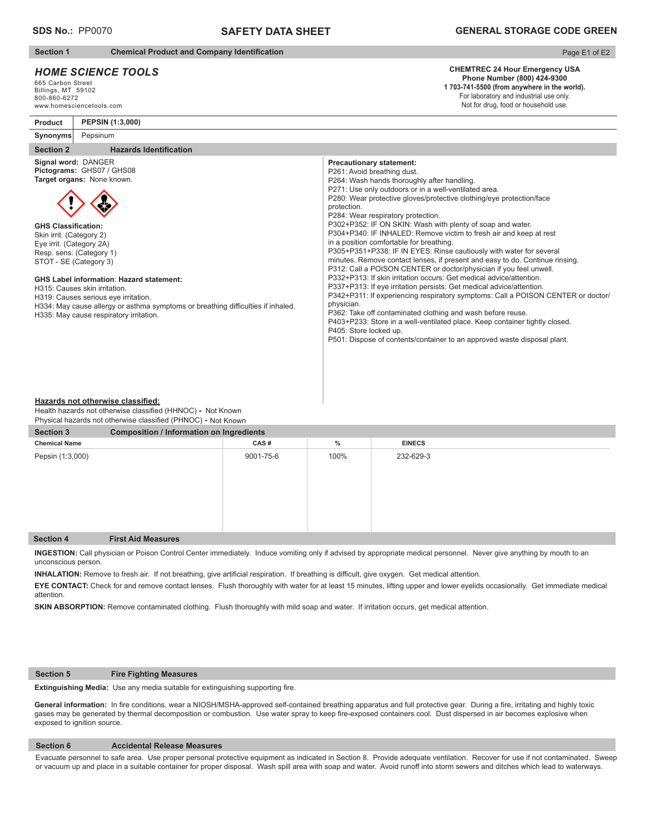# **SAFETY DATA SHEET**

**Section 1** Chemical Product and Company Identification

# *HOME SCIENCE TOOLS*

665 Carbon Street Billings, MT 59102 800-860-6272 www.homesciencetools.com

# Page E1 of E2

#### **CHEMTREC 24 Hour Emergency USA Phone Number (800) 424-9300 1 703-741-5500 (from anywhere in the world).**

For laboratory and industrial use only. Not for drug, food or household use.

**Product PEPSIN (1:3,000)**

#### **Section 2** Hazards Identification **Synonyms** Pepsinum **Signal word:** DANGER **Pictograms:** GHS07 / GHS08 **Target organs:** None known. **GHS Classification:** Skin irrit. (Category 2) Eye irrit. (Category 2A) Resp. sens. (Category 1) STOT - SE (Category 3) **GHS Label information**: **Hazard statement:** H315: Causes skin irritation. H319: Causes serious eye irritation. H334: May cause allergy or asthma symptoms or breathing difficulties if inhaled. H335: May cause respiratory irritation. **Precautionary statement:** P261: Avoid breathing dust. P264: Wash hands thoroughly after handling. P271: Use only outdoors or in a well-ventilated area. P280: Wear protective gloves/protective clothing/eye protection/face protection. P284: Wear respiratory protection. P302+P352: IF ON SKIN: Wash with plenty of soap and water. P304+P340: IF INHALED: Remove victim to fresh air and keep at rest in a position comfortable for breathing. P305+P351+P338: IF IN EYES: Rinse cautiously with water for several minutes. Remove contact lenses, if present and easy to do. Continue rinsing. P312: Call a POISON CENTER or doctor/physician if you feel unwell. P332+P313: If skin irritation occurs: Get medical advice/attention. P337+P313: If eye irritation persists: Get medical advice/attention. P342+P311: If experiencing respiratory symptoms: Call a POISON CENTER or doctor/ physician. P362: Take off contaminated clothing and wash before reuse. P403+P233: Store in a well-ventilated place. Keep container tightly closed. P405: Store locked up. P501: Dispose of contents/container to an approved waste disposal plant.

#### **Hazards not otherwise classified:**

Health hazards not otherwise classified (HHNOC) - Not Known Physical hazards not otherwise classified (PHNOC) **-** Not Known

| <b>Section 3</b>     | <b>Composition / Information on Ingredients</b> |           |      |               |  |  |
|----------------------|-------------------------------------------------|-----------|------|---------------|--|--|
| <b>Chemical Name</b> |                                                 | CAS#      | $\%$ | <b>EINECS</b> |  |  |
| Pepsin (1:3,000)     |                                                 | 9001-75-6 | 100% | 232-629-3     |  |  |
| <b>Section 4</b>     | <b>First Aid Measures</b>                       |           |      |               |  |  |

**INGESTION:** Call physician or Poison Control Center immediately. Induce vomiting only if advised by appropriate medical personnel.Never give anything by mouth to an unconscious person.

INHALATION: Remove to fresh air. If not breathing, give artificial respiration. If breathing is difficult, give oxygen. Get medical attention.

**EYE CONTACT:** Check for and remove contact lenses. Flush thoroughly with water for at least 15 minutes, lifting upper and lower eyelids occasionally. Get immediate medical attention.

**SKIN ABSORPTION:** Remove contaminated clothing. Flush thoroughly with mild soap and water. If irritation occurs, get medical attention.

#### **Section 5 Fire Fighting Measures**

**Extinguishing Media:** Use any media suitable for extinguishing supporting fire.

General information: In fire conditions, wear a NIOSH/MSHA-approved self-contained breathing apparatus and full protective gear. During a fire, irritating and highly toxic gases may be generated by thermal decomposition or combustion. Use water spray to keep fire-exposed containers cool. Dust dispersed in air becomes explosive when exposed to ignition source.

### **Section 6 Accidental Release Measures**

Evacuate personnel to safe area. Use proper personal protective equipment as indicated in Section 8. Provide adequate ventilation. Recover for use if not contaminated. Sweep or vacuum up and place in a suitable container for proper disposal. Wash spill area with soap and water. Avoid runoff into storm sewers and ditches which lead to waterways.